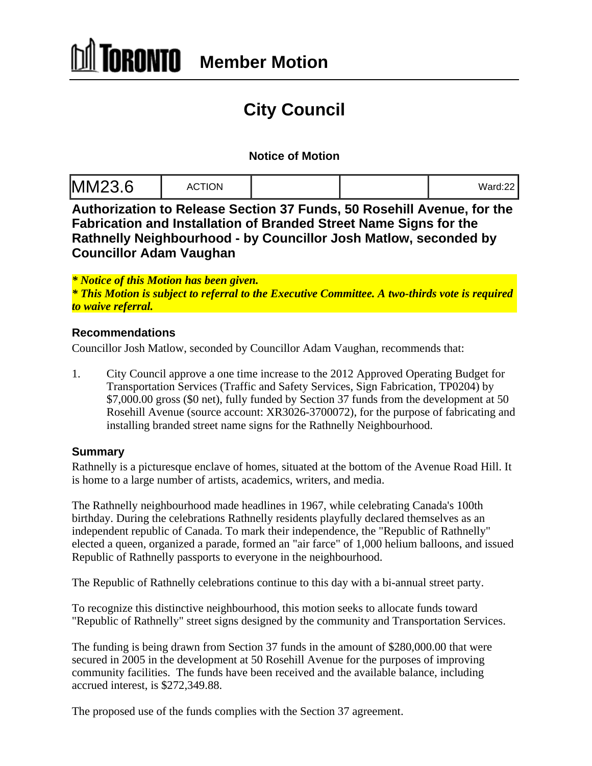# **City Council**

### **Notice of Motion**

| Ward:22 |  |  |
|---------|--|--|
|---------|--|--|

**Authorization to Release Section 37 Funds, 50 Rosehill Avenue, for the Fabrication and Installation of Branded Street Name Signs for the Rathnelly Neighbourhood - by Councillor Josh Matlow, seconded by Councillor Adam Vaughan**

*\* Notice of this Motion has been given.* 

*\* This Motion is subject to referral to the Executive Committee. A two-thirds vote is required to waive referral.* 

### **Recommendations**

Councillor Josh Matlow, seconded by Councillor Adam Vaughan, recommends that:

1. City Council approve a one time increase to the 2012 Approved Operating Budget for Transportation Services (Traffic and Safety Services, Sign Fabrication, TP0204) by \$7,000.00 gross (\$0 net), fully funded by Section 37 funds from the development at 50 Rosehill Avenue (source account: XR3026-3700072), for the purpose of fabricating and installing branded street name signs for the Rathnelly Neighbourhood.

### **Summary**

Rathnelly is a picturesque enclave of homes, situated at the bottom of the Avenue Road Hill. It is home to a large number of artists, academics, writers, and media.

The Rathnelly neighbourhood made headlines in 1967, while celebrating Canada's 100th birthday. During the celebrations Rathnelly residents playfully declared themselves as an independent republic of Canada. To mark their independence, the "Republic of Rathnelly" elected a queen, organized a parade, formed an "air farce" of 1,000 helium balloons, and issued Republic of Rathnelly passports to everyone in the neighbourhood.

The Republic of Rathnelly celebrations continue to this day with a bi-annual street party.

To recognize this distinctive neighbourhood, this motion seeks to allocate funds toward "Republic of Rathnelly" street signs designed by the community and Transportation Services.

The funding is being drawn from Section 37 funds in the amount of \$280,000.00 that were secured in 2005 in the development at 50 Rosehill Avenue for the purposes of improving community facilities. The funds have been received and the available balance, including accrued interest, is \$272,349.88.

The proposed use of the funds complies with the Section 37 agreement.